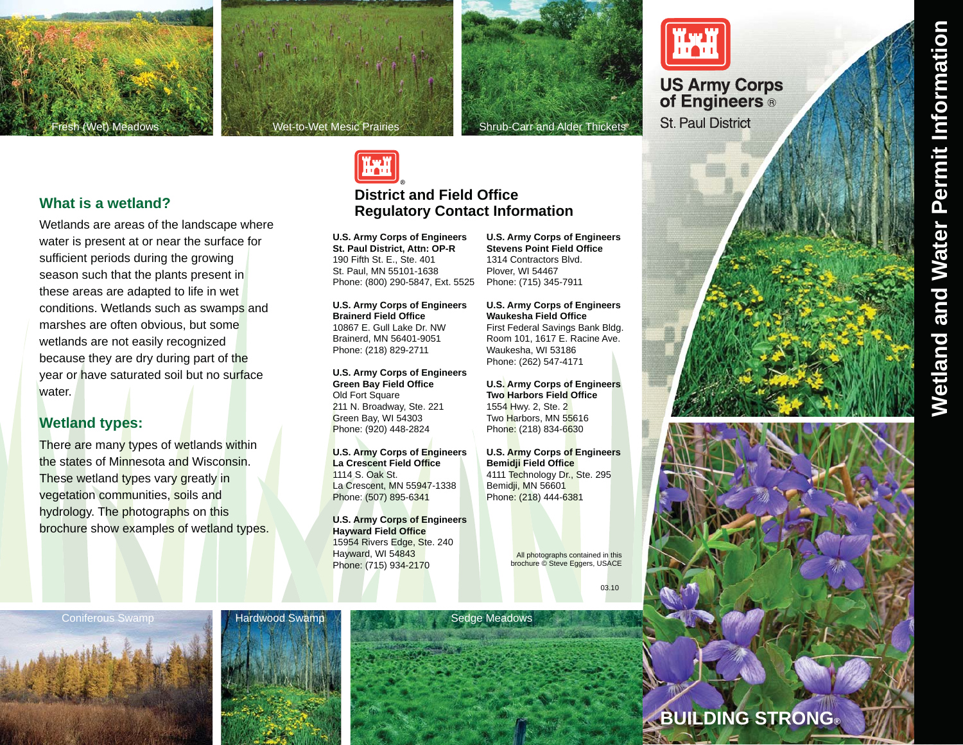









## **Wetland types:**

There are many types of wetlands within the states of Minnesota and Wisconsin. These wetland types vary greatly in vegetation communities, soils and hydrology. The photographs on this brochure show examples of wetland types.



# **District and Field OfficeRegulatory Contact Information**

**U.S. Army Corps of Engineers St. Paul District, Attn: OP-R**  190 Fifth St. E., Ste. 401 St. Paul, MN 55101-1638 Phone: (800) 290-5847, Ext. 5525

**U.S. Army Corps of Engineers Brainerd Field Office** 10867 E. Gull Lake Dr. NW Brainerd, MN 56401-9051 Phone: (218) 829-2711

**U.S. Army Corps of Engineers Green Bay Field Office** Old Fort Square 211 N. Broadway, Ste. 221 Green Bay, WI 54303 Phone: (920) 448-2824

**U.S. Army Corps of Engineers La Crescent Field Office**1114 S. Oak St.La Crescent, MN 55947-1338 Phone: (507) 895-6341

**U.S. Army Corps of Engineers Hayward Field Office** 15954 Rivers Edge, Ste. 240 Hayward, WI 54843 Phone: (715) 934-2170

**U.S. Army Corps of Engineers Stevens Point Field Office**1314 Contractors Blvd.Plover, WI 54467 Phone: (715) 345-7911

**U.S. Army Corps of Engineers Waukesha Field Office** First Federal Savings Bank Bldg. Room 101, 1617 E. Racine Ave. Waukesha, WI 53186 Phone: (262) 547-4171

**U.S. Army Corps of Engineers Two Harbors Field Office**1554 Hwy. 2, Ste. 2 Two Harbors, MN 55616 Phone: (218) 834-6630

**U.S. Army Corps of Engineers Bemidji Field Office** 4111 Technology Dr., Ste. 295 Bemidji, MN 56601 Phone: (218) 444-6381

> All photographs contained in this brochure © Steve Eggers, USACE

> > 03.10

**BUILDING STRONG®**